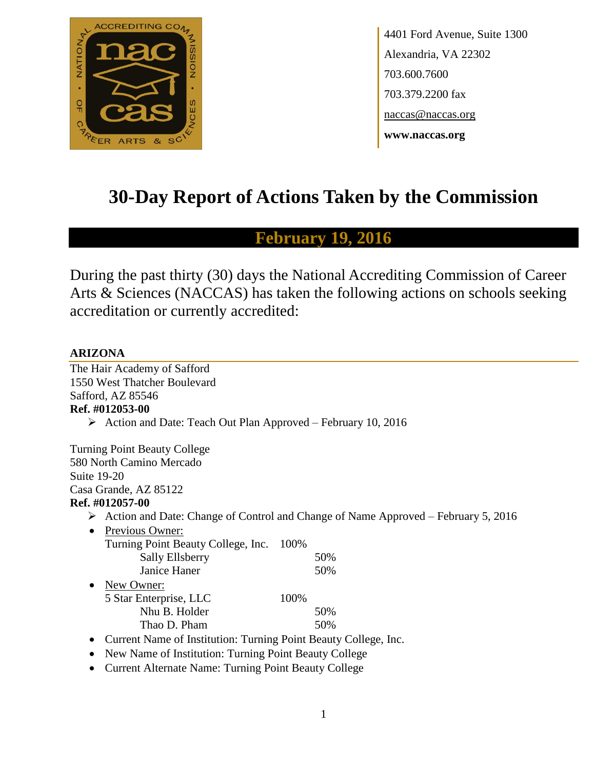

4401 Ford Avenue, Suite 1300 Alexandria, VA 22302 703.600.7600 703.379.2200 fax naccas@naccas.org **www.naccas.org**

# **30-Day Report of Actions Taken by the Commission**

# **February 19, 2016**

During the past thirty (30) days the National Accrediting Commission of Career Arts & Sciences (NACCAS) has taken the following actions on schools seeking accreditation or currently accredited:

### **ARIZONA**

The Hair Academy of Safford 1550 West Thatcher Boulevard Safford, AZ 85546 **Ref. #012053-00**  $\triangleright$  Action and Date: Teach Out Plan Approved – February 10, 2016 Turning Point Beauty College 580 North Camino Mercado Suite 19-20 Casa Grande, AZ 85122 **Ref. #012057-00**  $\triangleright$  Action and Date: Change of Control and Change of Name Approved – February 5, 2016 • Previous Owner: Turning Point Beauty College, Inc. 100% Sally Ellsberry 50% Janice Haner 50% • New Owner: 5 Star Enterprise, LLC 100% Nhu B. Holder 50% Thao D. Pham 50% • Current Name of Institution: Turning Point Beauty College, Inc.

- New Name of Institution: Turning Point Beauty College
- Current Alternate Name: Turning Point Beauty College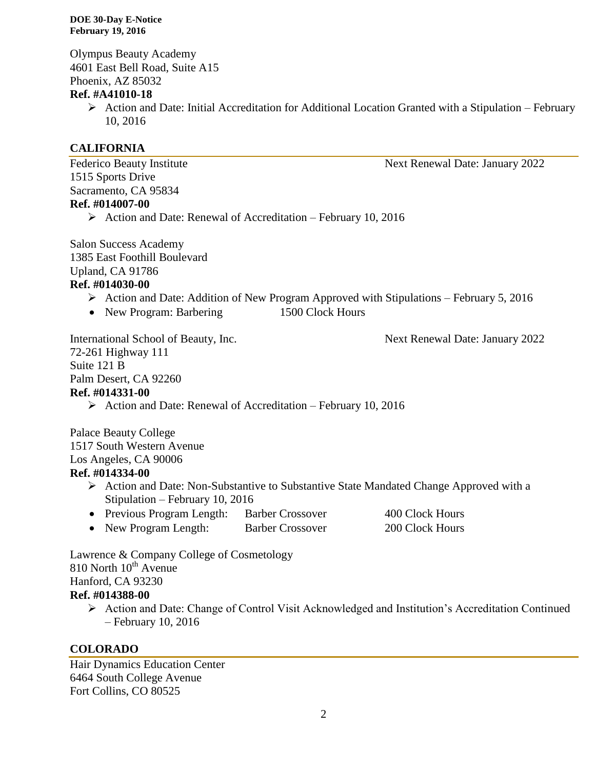Olympus Beauty Academy 4601 East Bell Road, Suite A15 Phoenix, AZ 85032

### **Ref. #A41010-18**

 $\triangleright$  Action and Date: Initial Accreditation for Additional Location Granted with a Stipulation – February 10, 2016

### **CALIFORNIA**

Federico Beauty Institute Next Renewal Date: January 2022 1515 Sports Drive Sacramento, CA 95834 **Ref. #014007-00**

Action and Date: Renewal of Accreditation – February 10, 2016

Salon Success Academy 1385 East Foothill Boulevard Upland, CA 91786 **Ref. #014030-00**

- $\triangleright$  Action and Date: Addition of New Program Approved with Stipulations February 5, 2016
- New Program: Barbering 1500 Clock Hours

International School of Beauty, Inc. Next Renewal Date: January 2022

72-261 Highway 111 Suite 121 B Palm Desert, CA 92260 **Ref. #014331-00**

 $\triangleright$  Action and Date: Renewal of Accreditation – February 10, 2016

Palace Beauty College 1517 South Western Avenue Los Angeles, CA 90006

### **Ref. #014334-00**

- Action and Date: Non-Substantive to Substantive State Mandated Change Approved with a Stipulation – February 10, 2016
- Previous Program Length: Barber Crossover 400 Clock Hours
- New Program Length: Barber Crossover 200 Clock Hours

Lawrence & Company College of Cosmetology  $810$  North  $10^{th}$  Avenue Hanford, CA 93230 **Ref. #014388-00**

 Action and Date: Change of Control Visit Acknowledged and Institution's Accreditation Continued – February 10, 2016

### **COLORADO**

Hair Dynamics Education Center 6464 South College Avenue Fort Collins, CO 80525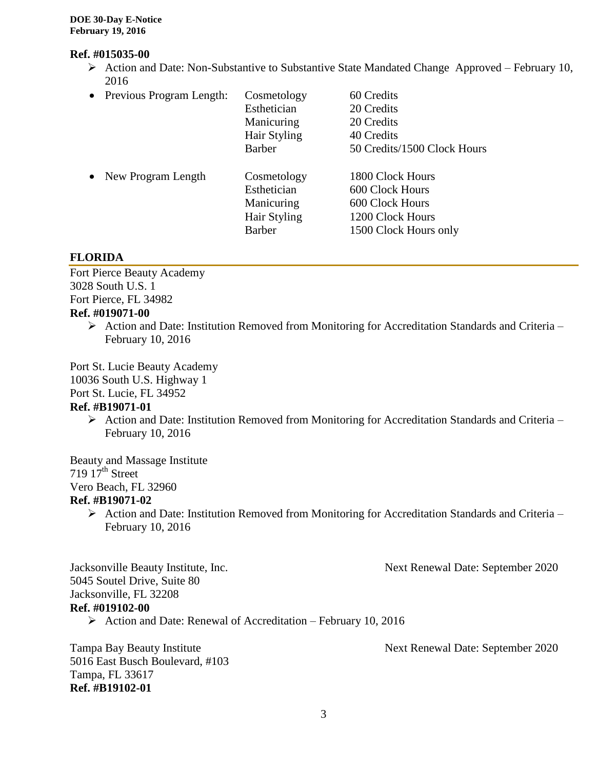### **Ref. #015035-00**

- $\triangleright$  Action and Date: Non-Substantive to Substantive State Mandated Change Approved February 10, 2016
- Previous Program Length: Cosmetology 60 Credits Esthetician 20 Credits Manicuring 20 Credits Hair Styling 40 Credits Barber 50 Credits/1500 Clock Hours • New Program Length Cosmetology 1800 Clock Hours Esthetician 600 Clock Hours Manicuring 600 Clock Hours

### **FLORIDA**

Fort Pierce Beauty Academy 3028 South U.S. 1 Fort Pierce, FL 34982

### **Ref. #019071-00**

 $\triangleright$  Action and Date: Institution Removed from Monitoring for Accreditation Standards and Criteria – February 10, 2016

Hair Styling 1200 Clock Hours Barber 1500 Clock Hours only

Port St. Lucie Beauty Academy 10036 South U.S. Highway 1 Port St. Lucie, FL 34952

# **Ref. #B19071-01**

 $\triangleright$  Action and Date: Institution Removed from Monitoring for Accreditation Standards and Criteria – February 10, 2016

Beauty and Massage Institute 719  $17<sup>th</sup>$  Street

Vero Beach, FL 32960

### **Ref. #B19071-02**

 $\triangleright$  Action and Date: Institution Removed from Monitoring for Accreditation Standards and Criteria – February 10, 2016

Jacksonville Beauty Institute, Inc. Next Renewal Date: September 2020

Jacksonville, FL 32208

5045 Soutel Drive, Suite 80

### **Ref. #019102-00**

 $\triangleright$  Action and Date: Renewal of Accreditation – February 10, 2016

5016 East Busch Boulevard, #103 Tampa, FL 33617 **Ref. #B19102-01**

Tampa Bay Beauty Institute Next Renewal Date: September 2020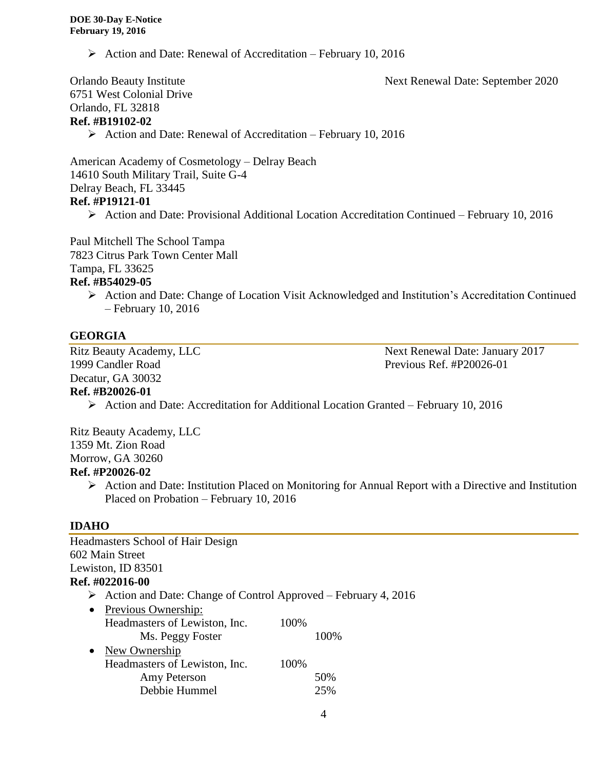$\triangleright$  Action and Date: Renewal of Accreditation – February 10, 2016

Orlando Beauty Institute Next Renewal Date: September 2020 6751 West Colonial Drive Orlando, FL 32818 **Ref. #B19102-02**

 $\triangleright$  Action and Date: Renewal of Accreditation – February 10, 2016

American Academy of Cosmetology – Delray Beach 14610 South Military Trail, Suite G-4 Delray Beach, FL 33445 **Ref. #P19121-01**

Action and Date: Provisional Additional Location Accreditation Continued – February 10, 2016

Paul Mitchell The School Tampa 7823 Citrus Park Town Center Mall Tampa, FL 33625

# **Ref. #B54029-05**

 Action and Date: Change of Location Visit Acknowledged and Institution's Accreditation Continued – February 10, 2016

### **GEORGIA**

1999 Candler Road Previous Ref. #P20026-01 Decatur, GA 30032

Ritz Beauty Academy, LLC Next Renewal Date: January 2017

### **Ref. #B20026-01**

Action and Date: Accreditation for Additional Location Granted – February 10, 2016

Ritz Beauty Academy, LLC 1359 Mt. Zion Road Morrow, GA 30260

### **Ref. #P20026-02**

 $\triangleright$  Action and Date: Institution Placed on Monitoring for Annual Report with a Directive and Institution Placed on Probation – February 10, 2016

### **IDAHO**

| <b>Headmasters School of Hair Design</b>                                        |      |
|---------------------------------------------------------------------------------|------|
| 602 Main Street                                                                 |      |
| Lewiston, ID 83501                                                              |      |
| Ref. #022016-00                                                                 |      |
| $\triangleright$ Action and Date: Change of Control Approved – February 4, 2016 |      |
| • Previous Ownership:                                                           |      |
| Headmasters of Lewiston, Inc.                                                   | 100% |
| Ms. Peggy Foster                                                                | 100% |
| New Ownership<br>$\bullet$                                                      |      |
| Headmasters of Lewiston, Inc.                                                   | 100% |
| Amy Peterson                                                                    | 50%  |
| Debbie Hummel                                                                   | 25%  |
|                                                                                 |      |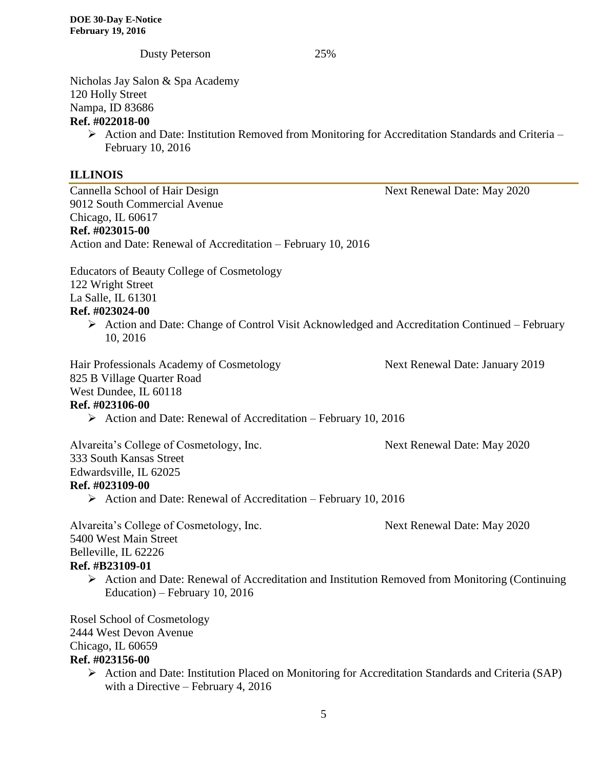Dusty Peterson 25% Nicholas Jay Salon & Spa Academy 120 Holly Street Nampa, ID 83686 **Ref. #022018-00**  $\triangleright$  Action and Date: Institution Removed from Monitoring for Accreditation Standards and Criteria – February 10, 2016 **ILLINOIS** Cannella School of Hair Design Next Renewal Date: May 2020 9012 South Commercial Avenue Chicago, IL 60617 **Ref. #023015-00** Action and Date: Renewal of Accreditation – February 10, 2016 Educators of Beauty College of Cosmetology 122 Wright Street La Salle, IL 61301 **Ref. #023024-00**  $\triangleright$  Action and Date: Change of Control Visit Acknowledged and Accreditation Continued – February 10, 2016 Hair Professionals Academy of Cosmetology Next Renewal Date: January 2019 825 B Village Quarter Road West Dundee, IL 60118 **Ref. #023106-00** Action and Date: Renewal of Accreditation – February 10, 2016

Alvareita's College of Cosmetology, Inc. Next Renewal Date: May 2020 333 South Kansas Street Edwardsville, IL 62025 **Ref. #023109-00**

Action and Date: Renewal of Accreditation – February 10, 2016

Alvareita's College of Cosmetology, Inc. Next Renewal Date: May 2020 5400 West Main Street Belleville, IL 62226

### **Ref. #B23109-01**

 $\triangleright$  Action and Date: Renewal of Accreditation and Institution Removed from Monitoring (Continuing Education) – February 10, 2016

Rosel School of Cosmetology 2444 West Devon Avenue Chicago, IL 60659 **Ref. #023156-00**

> Action and Date: Institution Placed on Monitoring for Accreditation Standards and Criteria (SAP) with a Directive – February 4, 2016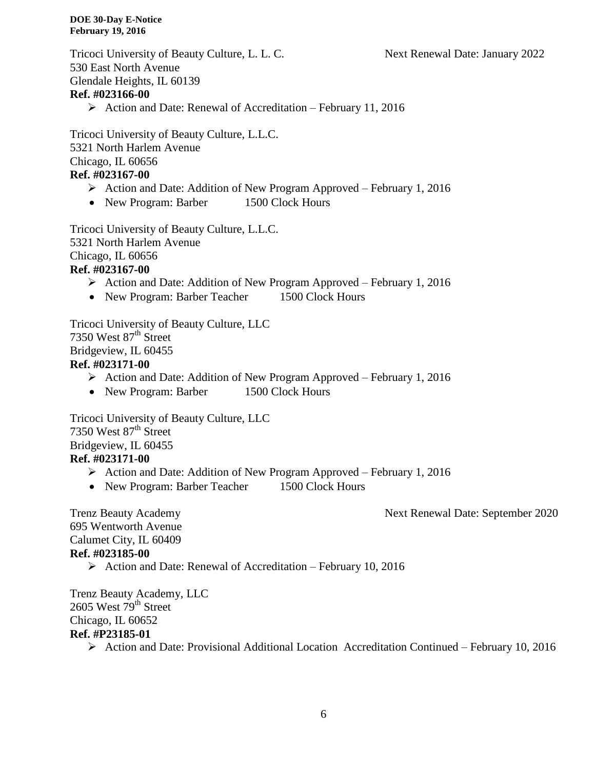Tricoci University of Beauty Culture, L. L. C. Next Renewal Date: January 2022 530 East North Avenue Glendale Heights, IL 60139 **Ref. #023166-00**

 $\triangleright$  Action and Date: Renewal of Accreditation – February 11, 2016

Tricoci University of Beauty Culture, L.L.C. 5321 North Harlem Avenue Chicago, IL 60656

# **Ref. #023167-00**

- $\triangleright$  Action and Date: Addition of New Program Approved February 1, 2016
- New Program: Barber 1500 Clock Hours

Tricoci University of Beauty Culture, L.L.C. 5321 North Harlem Avenue Chicago, IL 60656 **Ref. #023167-00**

- Action and Date: Addition of New Program Approved February 1, 2016
- New Program: Barber Teacher 1500 Clock Hours

Tricoci University of Beauty Culture, LLC 7350 West  $87<sup>th</sup>$  Street Bridgeview, IL 60455 **Ref. #023171-00**

- $\triangleright$  Action and Date: Addition of New Program Approved February 1, 2016
- New Program: Barber 1500 Clock Hours

Tricoci University of Beauty Culture, LLC 7350 West 87<sup>th</sup> Street Bridgeview, IL 60455 **Ref. #023171-00**

- Action and Date: Addition of New Program Approved February 1, 2016
- New Program: Barber Teacher 1500 Clock Hours

Trenz Beauty Academy Next Renewal Date: September 2020

695 Wentworth Avenue Calumet City, IL 60409 **Ref. #023185-00**

 $\triangleright$  Action and Date: Renewal of Accreditation – February 10, 2016

Trenz Beauty Academy, LLC 2605 West 79<sup>th</sup> Street Chicago, IL 60652 **Ref. #P23185-01**

Action and Date: Provisional Additional Location Accreditation Continued – February 10, 2016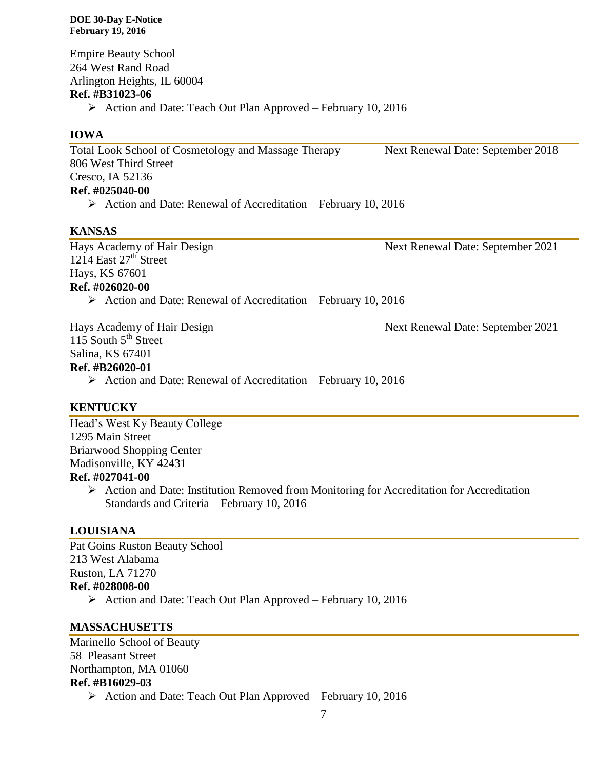Empire Beauty School 264 West Rand Road Arlington Heights, IL 60004 **Ref. #B31023-06**  $\triangleright$  Action and Date: Teach Out Plan Approved – February 10, 2016

### **IOWA**

Total Look School of Cosmetology and Massage Therapy Next Renewal Date: September 2018 806 West Third Street Cresco, IA 52136 **Ref. #025040-00**

 $\triangleright$  Action and Date: Renewal of Accreditation – February 10, 2016

### **KANSAS**

1214 East  $27<sup>th</sup>$  Street Hays, KS 67601 **Ref. #026020-00**

Hays Academy of Hair Design Next Renewal Date: September 2021

 $\triangleright$  Action and Date: Renewal of Accreditation – February 10, 2016

Hays Academy of Hair Design Next Renewal Date: September 2021 115 South  $5<sup>th</sup>$  Street

Salina, KS 67401

### **Ref. #B26020-01**

 $\triangleright$  Action and Date: Renewal of Accreditation – February 10, 2016

### **KENTUCKY**

Head's West Ky Beauty College 1295 Main Street Briarwood Shopping Center Madisonville, KY 42431 **Ref. #027041-00**

> Action and Date: Institution Removed from Monitoring for Accreditation for Accreditation Standards and Criteria – February 10, 2016

## **LOUISIANA**

Pat Goins Ruston Beauty School 213 West Alabama Ruston, LA 71270 **Ref. #028008-00** Action and Date: Teach Out Plan Approved – February 10, 2016

### **MASSACHUSETTS**

Marinello School of Beauty 58 Pleasant Street Northampton, MA 01060 **Ref. #B16029-03**

 $\triangleright$  Action and Date: Teach Out Plan Approved – February 10, 2016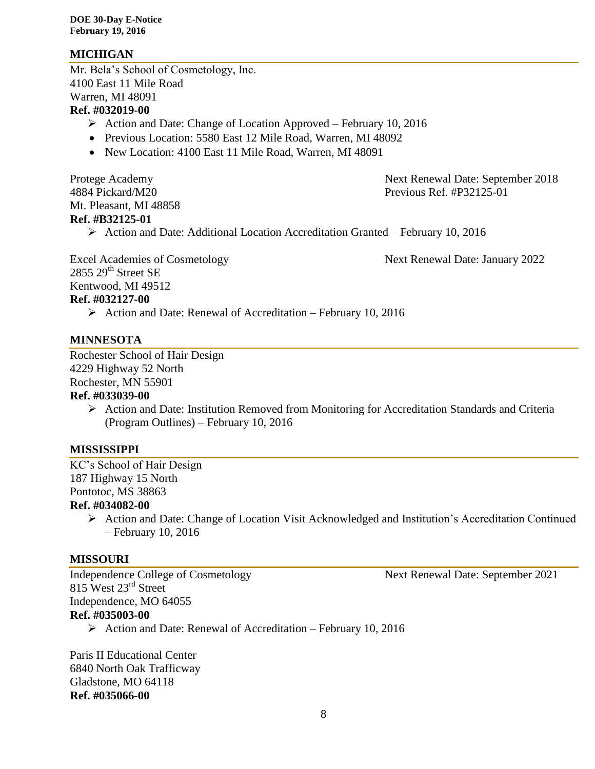### **MICHIGAN**

Mr. Bela's School of Cosmetology, Inc. 4100 East 11 Mile Road Warren, MI 48091

### **Ref. #032019-00**

- $\triangleright$  Action and Date: Change of Location Approved February 10, 2016
- Previous Location: 5580 East 12 Mile Road, Warren, MI 48092
- New Location: 4100 East 11 Mile Road, Warren, MI 48091

Mt. Pleasant, MI 48858 **Ref. #B32125-01**

Protege Academy **Next Renewal Date: September 2018** 4884 Pickard/M20 Previous Ref. #P32125-01

Action and Date: Additional Location Accreditation Granted – February 10, 2016

2855 29<sup>th</sup> Street SE Kentwood, MI 49512 **Ref. #032127-00**

Excel Academies of Cosmetology Next Renewal Date: January 2022

Action and Date: Renewal of Accreditation – February 10, 2016

### **MINNESOTA**

Rochester School of Hair Design 4229 Highway 52 North Rochester, MN 55901

### **Ref. #033039-00**

 $\triangleright$  Action and Date: Institution Removed from Monitoring for Accreditation Standards and Criteria (Program Outlines) – February 10, 2016

### **MISSISSIPPI**

KC's School of Hair Design 187 Highway 15 North Pontotoc, MS 38863

### **Ref. #034082-00**

 Action and Date: Change of Location Visit Acknowledged and Institution's Accreditation Continued – February 10, 2016

### **MISSOURI**

Independence College of Cosmetology Next Renewal Date: September 2021 815 West 23<sup>rd</sup> Street Independence, MO 64055 **Ref. #035003-00**

Action and Date: Renewal of Accreditation – February 10, 2016

Paris II Educational Center 6840 North Oak Trafficway Gladstone, MO 64118 **Ref. #035066-00**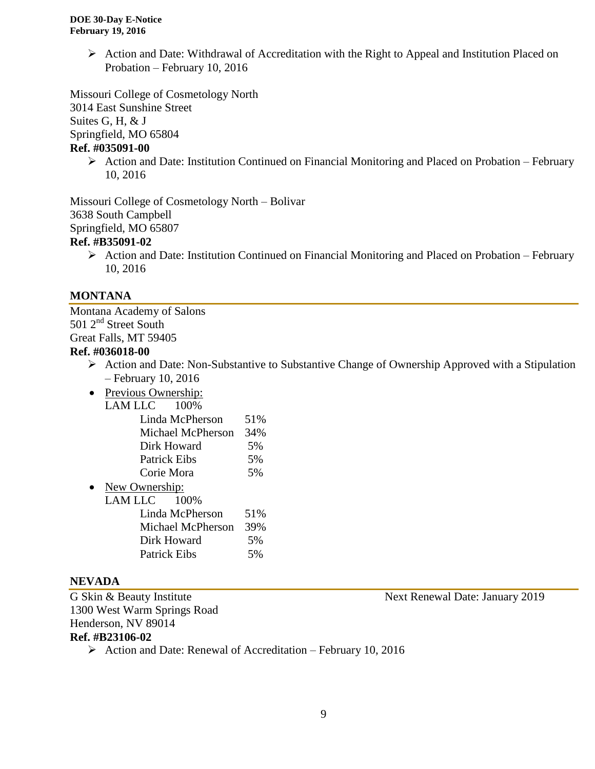$\triangleright$  Action and Date: Withdrawal of Accreditation with the Right to Appeal and Institution Placed on Probation – February 10, 2016

Missouri College of Cosmetology North 3014 East Sunshine Street Suites G, H, & J

Springfield, MO 65804

### **Ref. #035091-00**

 $\triangleright$  Action and Date: Institution Continued on Financial Monitoring and Placed on Probation – February 10, 2016

Missouri College of Cosmetology North – Bolivar 3638 South Campbell Springfield, MO 65807 **Ref. #B35091-02**

 $\triangleright$  Action and Date: Institution Continued on Financial Monitoring and Placed on Probation – February 10, 2016

### **MONTANA**

Montana Academy of Salons 501 2<sup>nd</sup> Street South Great Falls, MT 59405

### **Ref. #036018-00**

- $\triangleright$  Action and Date: Non-Substantive to Substantive Change of Ownership Approved with a Stipulation – February 10, 2016
- Previous Ownership:<br> $I AM I I C 100%$  $LAMLLC$

| .<br>,,,,,,,,       |     |
|---------------------|-----|
| Linda McPherson     | 51% |
| Michael McPherson   | 34% |
| Dirk Howard         | 5%  |
| <b>Patrick Eibs</b> | 5%  |
| Corie Mora          | 5%  |
|                     |     |

• New Ownership: LAM LLC 100% Linda McPherson 51% Michael McPherson 39% Dirk Howard 5% Patrick Eibs 5%

### **NEVADA**

1300 West Warm Springs Road Henderson, NV 89014

G Skin & Beauty Institute Next Renewal Date: January 2019

# **Ref. #B23106-02**

Action and Date: Renewal of Accreditation – February 10, 2016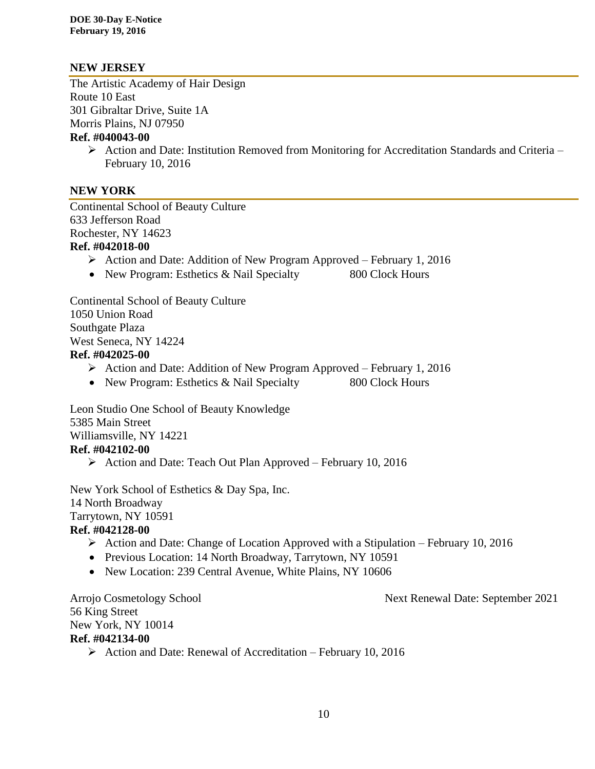### **NEW JERSEY**

The Artistic Academy of Hair Design Route 10 East 301 Gibraltar Drive, Suite 1A Morris Plains, NJ 07950

### **Ref. #040043-00**

 $\triangleright$  Action and Date: Institution Removed from Monitoring for Accreditation Standards and Criteria – February 10, 2016

### **NEW YORK**

Continental School of Beauty Culture 633 Jefferson Road Rochester, NY 14623 **Ref. #042018-00**

- $\triangleright$  Action and Date: Addition of New Program Approved February 1, 2016
- New Program: Esthetics & Nail Specialty 800 Clock Hours

Continental School of Beauty Culture 1050 Union Road Southgate Plaza West Seneca, NY 14224

## **Ref. #042025-00**

- Action and Date: Addition of New Program Approved February 1, 2016
- New Program: Esthetics & Nail Specialty 800 Clock Hours

Leon Studio One School of Beauty Knowledge 5385 Main Street Williamsville, NY 14221 **Ref. #042102-00**

 $\triangleright$  Action and Date: Teach Out Plan Approved – February 10, 2016

New York School of Esthetics & Day Spa, Inc. 14 North Broadway Tarrytown, NY 10591 **Ref. #042128-00**

- Action and Date: Change of Location Approved with a Stipulation February 10, 2016
- Previous Location: 14 North Broadway, Tarrytown, NY 10591
- New Location: 239 Central Avenue, White Plains, NY 10606

56 King Street **Ref. #042134-00**

Arrojo Cosmetology School Next Renewal Date: September 2021

New York, NY 10014

 $\triangleright$  Action and Date: Renewal of Accreditation – February 10, 2016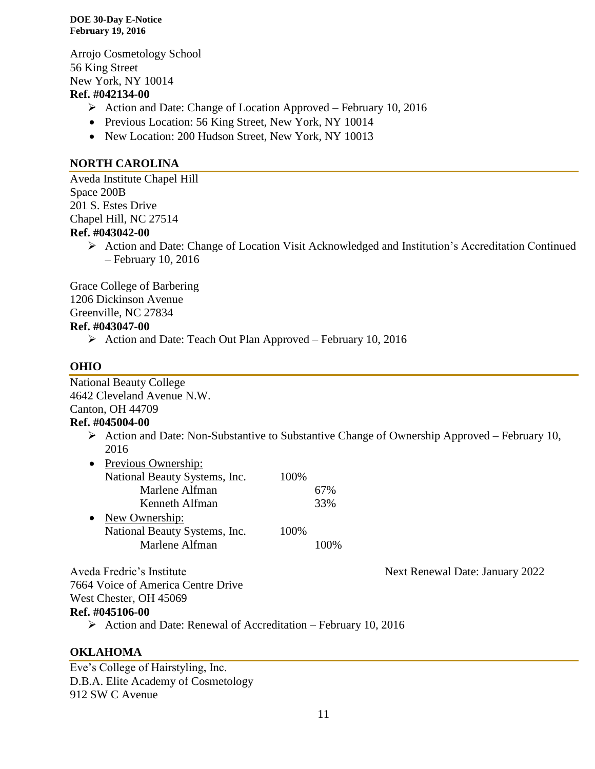Arrojo Cosmetology School 56 King Street New York, NY 10014

### **Ref. #042134-00**

- $\triangleright$  Action and Date: Change of Location Approved February 10, 2016
- Previous Location: 56 King Street, New York, NY 10014
- New Location: 200 Hudson Street, New York, NY 10013

### **NORTH CAROLINA**

Aveda Institute Chapel Hill Space 200B 201 S. Estes Drive Chapel Hill, NC 27514 **Ref. #043042-00**

> $\triangleright$  Action and Date: Change of Location Visit Acknowledged and Institution's Accreditation Continued – February 10, 2016

Grace College of Barbering 1206 Dickinson Avenue Greenville, NC 27834 **Ref. #043047-00**

 $\triangleright$  Action and Date: Teach Out Plan Approved – February 10, 2016

### **OHIO**

National Beauty College 4642 Cleveland Avenue N.W. Canton, OH 44709

### **Ref. #045004-00**

 $\triangleright$  Action and Date: Non-Substantive to Substantive Change of Ownership Approved – February 10, 2016

| Previous Ownership:           |      |     |
|-------------------------------|------|-----|
| National Beauty Systems, Inc. | 100% |     |
| Marlene Alfman                |      | 67% |
| Kenneth Alfman                |      | 33% |
| New Ownership:                |      |     |
| National Beauty Systems, Inc. | 100% |     |
| Marlene Alfman                |      |     |
|                               |      |     |

Aveda Fredric's Institute Next Renewal Date: January 2022

7664 Voice of America Centre Drive West Chester, OH 45069 **Ref. #045106-00**

 $\triangleright$  Action and Date: Renewal of Accreditation – February 10, 2016

### **OKLAHOMA**

Eve's College of Hairstyling, Inc. D.B.A. Elite Academy of Cosmetology 912 SW C Avenue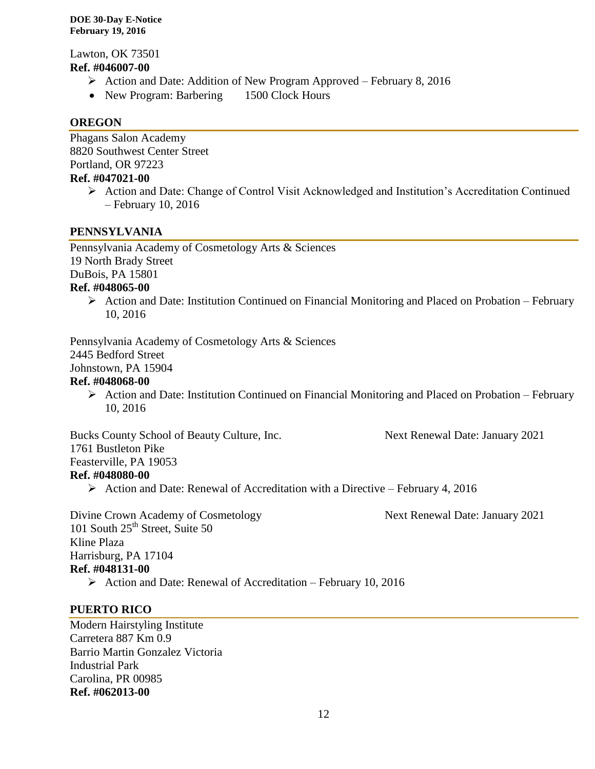Lawton, OK 73501 **Ref. #046007-00**

- $\triangleright$  Action and Date: Addition of New Program Approved February 8, 2016
- New Program: Barbering 1500 Clock Hours

### **OREGON**

Phagans Salon Academy 8820 Southwest Center Street Portland, OR 97223

### **Ref. #047021-00**

 Action and Date: Change of Control Visit Acknowledged and Institution's Accreditation Continued – February 10, 2016

### **PENNSYLVANIA**

Pennsylvania Academy of Cosmetology Arts & Sciences 19 North Brady Street

DuBois, PA 15801

### **Ref. #048065-00**

 $\triangleright$  Action and Date: Institution Continued on Financial Monitoring and Placed on Probation – February 10, 2016

Pennsylvania Academy of Cosmetology Arts & Sciences 2445 Bedford Street Johnstown, PA 15904

### **Ref. #048068-00**

 $\triangleright$  Action and Date: Institution Continued on Financial Monitoring and Placed on Probation – February 10, 2016

Bucks County School of Beauty Culture, Inc. Next Renewal Date: January 2021 1761 Bustleton Pike

Feasterville, PA 19053

### **Ref. #048080-00**

 $\triangleright$  Action and Date: Renewal of Accreditation with a Directive – February 4, 2016

Divine Crown Academy of Cosmetology Next Renewal Date: January 2021 101 South  $25<sup>th</sup>$  Street, Suite 50 Kline Plaza Harrisburg, PA 17104 **Ref. #048131-00**

 $\triangleright$  Action and Date: Renewal of Accreditation – February 10, 2016

### **PUERTO RICO**

Modern Hairstyling Institute Carretera 887 Km 0.9 Barrio Martin Gonzalez Victoria Industrial Park Carolina, PR 00985 **Ref. #062013-00**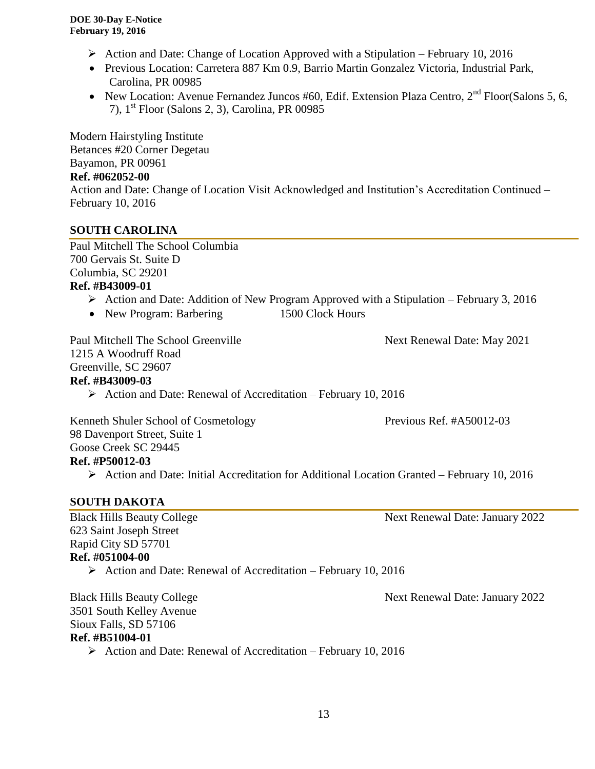- Action and Date: Change of Location Approved with a Stipulation February 10, 2016
- Previous Location: Carretera 887 Km 0.9, Barrio Martin Gonzalez Victoria, Industrial Park, Carolina, PR 00985
- New Location: Avenue Fernandez Juncos #60, Edif. Extension Plaza Centro,  $2<sup>nd</sup>$  Floor(Salons 5, 6, 7), 1st Floor (Salons 2, 3), Carolina, PR 00985

Modern Hairstyling Institute Betances #20 Corner Degetau Bayamon, PR 00961

### **Ref. #062052-00**

Action and Date: Change of Location Visit Acknowledged and Institution's Accreditation Continued – February 10, 2016

### **SOUTH CAROLINA**

Paul Mitchell The School Columbia 700 Gervais St. Suite D Columbia, SC 29201 **Ref. #B43009-01**

- $\triangleright$  Action and Date: Addition of New Program Approved with a Stipulation February 3, 2016
- New Program: Barbering 1500 Clock Hours

Paul Mitchell The School Greenville Next Renewal Date: May 2021 1215 A Woodruff Road Greenville, SC 29607 **Ref. #B43009-03**  $\triangleright$  Action and Date: Renewal of Accreditation – February 10, 2016

Kenneth Shuler School of Cosmetology Previous Ref. #A50012-03 98 Davenport Street, Suite 1 Goose Creek SC 29445 **Ref. #P50012-03**

Action and Date: Initial Accreditation for Additional Location Granted – February 10, 2016

### **SOUTH DAKOTA**

623 Saint Joseph Street Rapid City SD 57701 **Ref. #051004-00**

Action and Date: Renewal of Accreditation – February 10, 2016

Black Hills Beauty College Next Renewal Date: January 2022 3501 South Kelley Avenue Sioux Falls, SD 57106 **Ref. #B51004-01**

 $\triangleright$  Action and Date: Renewal of Accreditation – February 10, 2016

Black Hills Beauty College Next Renewal Date: January 2022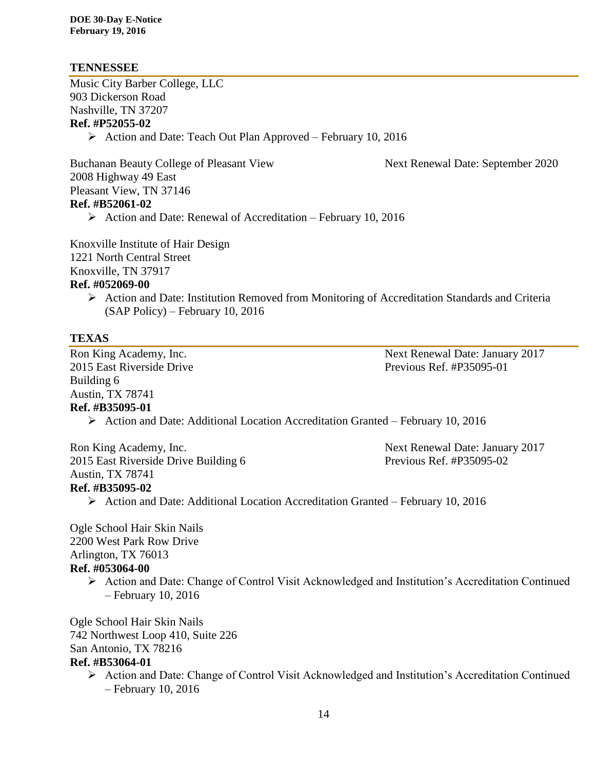### **TENNESSEE**

Music City Barber College, LLC 903 Dickerson Road Nashville, TN 37207 **Ref. #P52055-02**

 $\triangleright$  Action and Date: Teach Out Plan Approved – February 10, 2016

Buchanan Beauty College of Pleasant View Next Renewal Date: September 2020 2008 Highway 49 East Pleasant View, TN 37146 **Ref. #B52061-02**

 $\triangleright$  Action and Date: Renewal of Accreditation – February 10, 2016

Knoxville Institute of Hair Design 1221 North Central Street Knoxville, TN 37917 **Ref. #052069-00**

> $\triangleright$  Action and Date: Institution Removed from Monitoring of Accreditation Standards and Criteria (SAP Policy) – February 10, 2016

### **TEXAS**

2015 East Riverside Drive **Previous Ref. #P35095-01** Building 6 Austin, TX 78741 **Ref. #B35095-01**

Ron King Academy, Inc. Next Renewal Date: January 2017

Action and Date: Additional Location Accreditation Granted – February 10, 2016

Ron King Academy, Inc. The Second Second Second Second Second Second Second Second Second Second Second Second Second Second Second Second Second Second Second Second Second Second Second Second Second Second Second Second 2015 East Riverside Drive Building 6 Previous Ref. #P35095-02 Austin, TX 78741 **Ref. #B35095-02**

Action and Date: Additional Location Accreditation Granted – February 10, 2016

Ogle School Hair Skin Nails 2200 West Park Row Drive Arlington, TX 76013

# **Ref. #053064-00**

 Action and Date: Change of Control Visit Acknowledged and Institution's Accreditation Continued – February 10, 2016

Ogle School Hair Skin Nails 742 Northwest Loop 410, Suite 226 San Antonio, TX 78216

### **Ref. #B53064-01**

 Action and Date: Change of Control Visit Acknowledged and Institution's Accreditation Continued – February 10, 2016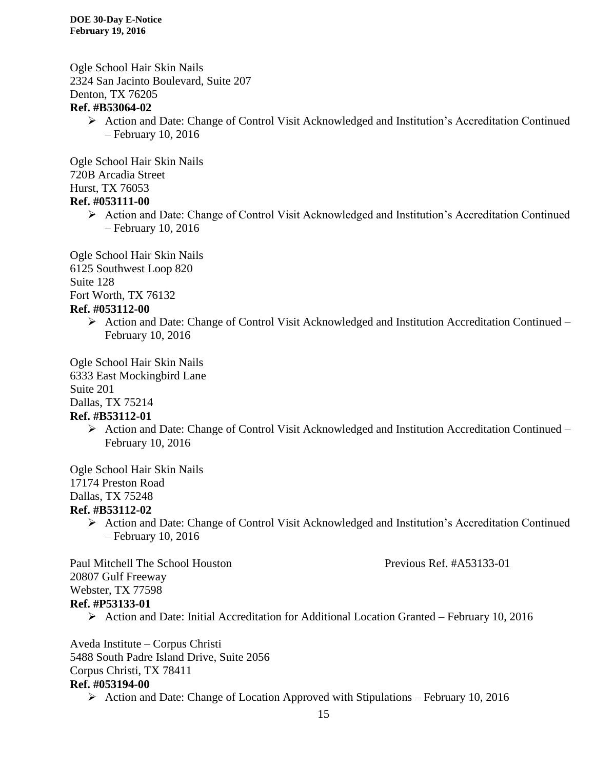Ogle School Hair Skin Nails 2324 San Jacinto Boulevard, Suite 207 Denton, TX 76205 **Ref. #B53064-02**

 Action and Date: Change of Control Visit Acknowledged and Institution's Accreditation Continued – February 10, 2016

Ogle School Hair Skin Nails 720B Arcadia Street Hurst, TX 76053 **Ref. #053111-00**

 Action and Date: Change of Control Visit Acknowledged and Institution's Accreditation Continued – February 10, 2016

Ogle School Hair Skin Nails 6125 Southwest Loop 820 Suite 128 Fort Worth, TX 76132 **Ref. #053112-00**

> $\triangleright$  Action and Date: Change of Control Visit Acknowledged and Institution Accreditation Continued – February 10, 2016

Ogle School Hair Skin Nails 6333 East Mockingbird Lane Suite 201 Dallas, TX 75214

- **Ref. #B53112-01**
	- Action and Date: Change of Control Visit Acknowledged and Institution Accreditation Continued February 10, 2016

Ogle School Hair Skin Nails 17174 Preston Road Dallas, TX 75248 **Ref. #B53112-02**

 Action and Date: Change of Control Visit Acknowledged and Institution's Accreditation Continued – February 10, 2016

Paul Mitchell The School Houston Previous Ref. #A53133-01 20807 Gulf Freeway Webster, TX 77598 **Ref. #P53133-01**

Action and Date: Initial Accreditation for Additional Location Granted – February 10, 2016

Aveda Institute – Corpus Christi 5488 South Padre Island Drive, Suite 2056 Corpus Christi, TX 78411 **Ref. #053194-00**

 $\triangleright$  Action and Date: Change of Location Approved with Stipulations – February 10, 2016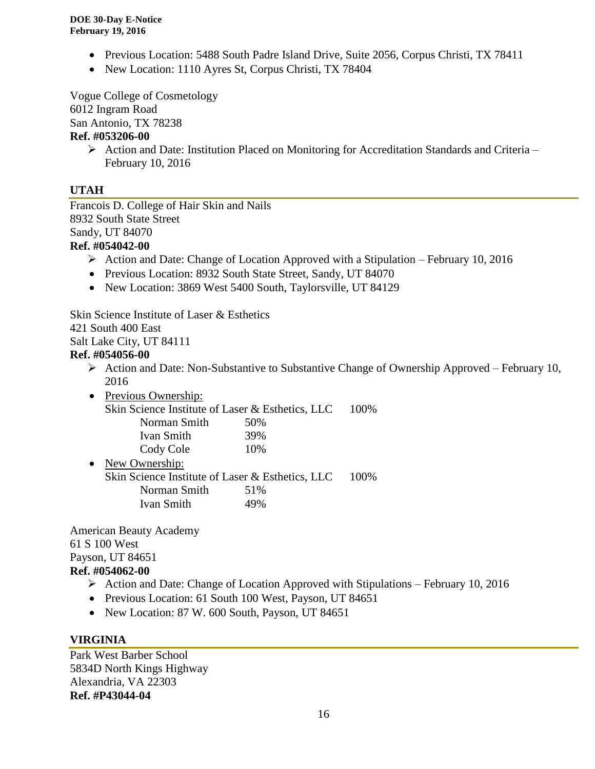- Previous Location: 5488 South Padre Island Drive, Suite 2056, Corpus Christi, TX 78411
- New Location: 1110 Ayres St, Corpus Christi, TX 78404

Vogue College of Cosmetology

6012 Ingram Road

San Antonio, TX 78238

### **Ref. #053206-00**

 $\triangleright$  Action and Date: Institution Placed on Monitoring for Accreditation Standards and Criteria – February 10, 2016

### **UTAH**

Francois D. College of Hair Skin and Nails 8932 South State Street Sandy, UT 84070 **Ref. #054042-00**

- Action and Date: Change of Location Approved with a Stipulation February 10, 2016
- Previous Location: 8932 South State Street, Sandy, UT 84070
- New Location: 3869 West 5400 South, Taylorsville, UT 84129

Skin Science Institute of Laser & Esthetics

421 South 400 East

Salt Lake City, UT 84111

### **Ref. #054056-00**

- $\triangleright$  Action and Date: Non-Substantive to Substantive Change of Ownership Approved February 10, 2016
- Previous Ownership:
	- Skin Science Institute of Laser & Esthetics, LLC 100%

| Norman Smith | 50% |
|--------------|-----|
| Ivan Smith   | 39% |

Cody Cole 10% • New Ownership: Skin Science Institute of Laser & Esthetics, LLC 100% Norman Smith 51% Ivan Smith 49%

American Beauty Academy 61 S 100 West Payson, UT 84651

### **Ref. #054062-00**

- $\triangleright$  Action and Date: Change of Location Approved with Stipulations February 10, 2016
- Previous Location: 61 South 100 West, Payson, UT 84651
- New Location: 87 W. 600 South, Payson, UT 84651

### **VIRGINIA**

Park West Barber School 5834D North Kings Highway Alexandria, VA 22303 **Ref. #P43044-04**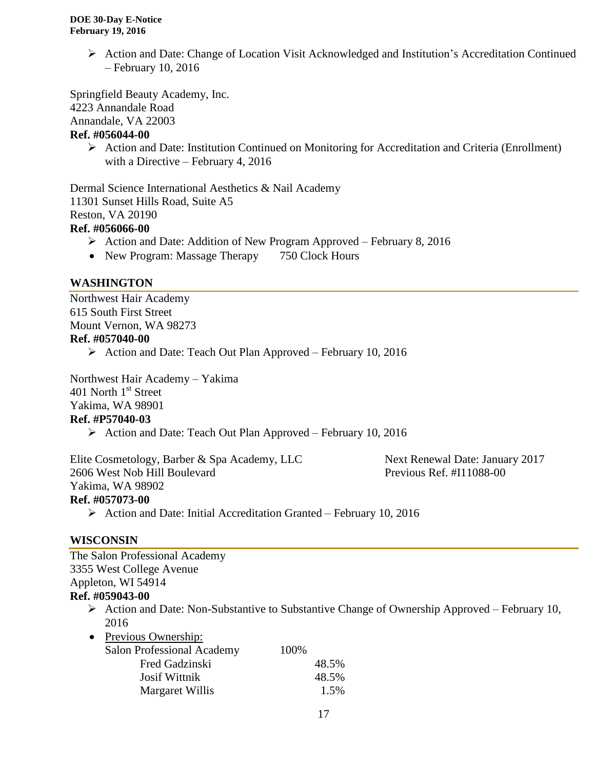$\triangleright$  Action and Date: Change of Location Visit Acknowledged and Institution's Accreditation Continued – February 10, 2016

Springfield Beauty Academy, Inc.

4223 Annandale Road

Annandale, VA 22003

### **Ref. #056044-00**

 $\triangleright$  Action and Date: Institution Continued on Monitoring for Accreditation and Criteria (Enrollment) with a Directive – February 4, 2016

Dermal Science International Aesthetics & Nail Academy 11301 Sunset Hills Road, Suite A5 Reston, VA 20190 **Ref. #056066-00**

- $\triangleright$  Action and Date: Addition of New Program Approved February 8, 2016
- New Program: Massage Therapy 750 Clock Hours

### **WASHINGTON**

Northwest Hair Academy 615 South First Street Mount Vernon, WA 98273 **Ref. #057040-00**

▶ Action and Date: Teach Out Plan Approved – February 10, 2016

Northwest Hair Academy – Yakima 401 North 1<sup>st</sup> Street Yakima, WA 98901

### **Ref. #P57040-03**

 $\triangleright$  Action and Date: Teach Out Plan Approved – February 10, 2016

Elite Cosmetology, Barber & Spa Academy, LLC Next Renewal Date: January 2017 2606 West Nob Hill Boulevard Previous Ref. #I11088-00 Yakima, WA 98902 **Ref. #057073-00**  $\triangleright$  Action and Date: Initial Accreditation Granted – February 10, 2016

# **WISCONSIN**

The Salon Professional Academy 3355 West College Avenue Appleton, WI 54914 **Ref. #059043-00**

- Action and Date: Non-Substantive to Substantive Change of Ownership Approved February 10, 2016
- Previous Ownership:

| <b>Salon Professional Academy</b> | 100%  |
|-----------------------------------|-------|
| Fred Gadzinski                    | 48.5% |
| <b>Josif Wittnik</b>              | 48.5% |
| Margaret Willis                   | 1.5%  |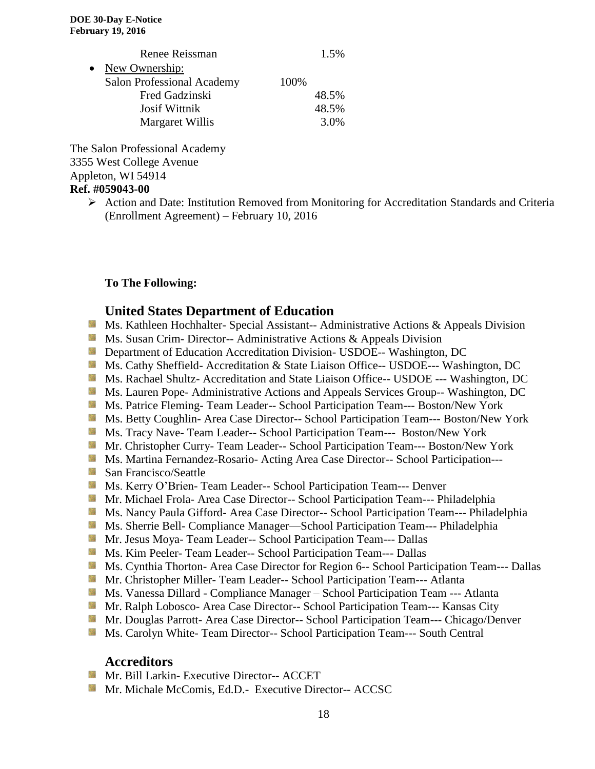|           | Renee Reissman                    |      | 1.5%  |
|-----------|-----------------------------------|------|-------|
| $\bullet$ | New Ownership:                    |      |       |
|           | <b>Salon Professional Academy</b> | 100% |       |
|           | Fred Gadzinski                    |      | 48.5% |
|           | Josif Wittnik                     |      | 48.5% |
|           | Margaret Willis                   |      | 3.0%  |

The Salon Professional Academy 3355 West College Avenue Appleton, WI 54914 **Ref. #059043-00**

> Action and Date: Institution Removed from Monitoring for Accreditation Standards and Criteria (Enrollment Agreement) – February 10, 2016

### **To The Following:**

### **United States Department of Education**

- **Ms. Kathleen Hochhalter- Special Assistant-- Administrative Actions & Appeals Division**
- **Ms. Susan Crim- Director-- Administrative Actions & Appeals Division**
- **Department of Education Accreditation Division- USDOE-- Washington, DC**
- Ms. Cathy Sheffield- Accreditation & State Liaison Office-- USDOE--- Washington, DC
- Ms. Rachael Shultz- Accreditation and State Liaison Office-- USDOE --- Washington, DC
- **MS. Lauren Pope- Administrative Actions and Appeals Services Group-- Washington, DC**
- Ms. Patrice Fleming-Team Leader-- School Participation Team--- Boston/New York
- Ms. Betty Coughlin- Area Case Director-- School Participation Team--- Boston/New York
- Ms. Tracy Nave- Team Leader-- School Participation Team--- Boston/New York
- Mr. Christopher Curry- Team Leader-- School Participation Team--- Boston/New York
- Ms. Martina Fernandez-Rosario- Acting Area Case Director-- School Participation---
- San Francisco/Seattle
- **Ms. Kerry O'Brien- Team Leader-- School Participation Team--- Denver**
- **Mr. Michael Frola- Area Case Director-- School Participation Team--- Philadelphia**
- Ms. Nancy Paula Gifford- Area Case Director-- School Participation Team--- Philadelphia
- Ms. Sherrie Bell- Compliance Manager—School Participation Team--- Philadelphia
- Mr. Jesus Moya- Team Leader-- School Participation Team--- Dallas
- Ms. Kim Peeler- Team Leader-- School Participation Team--- Dallas
- **Ms. Cynthia Thorton- Area Case Director for Region 6-- School Participation Team--- Dallas**
- Mr. Christopher Miller-Team Leader-- School Participation Team--- Atlanta
- Ms. Vanessa Dillard Compliance Manager School Participation Team --- Atlanta
- Mr. Ralph Lobosco- Area Case Director-- School Participation Team--- Kansas City
- Mr. Douglas Parrott- Area Case Director-- School Participation Team--- Chicago/Denver
- **MS. Carolyn White-Team Director-- School Participation Team--- South Central**

# **Accreditors**

- **Mr. Bill Larkin- Executive Director-- ACCET**
- Mr. Michale McComis, Ed.D.- Executive Director-- ACCSC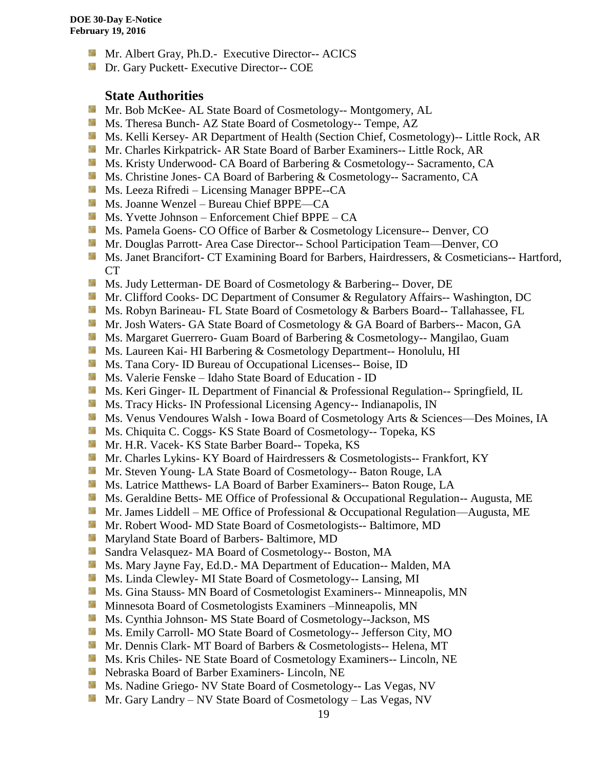- **Mr.** Albert Gray, Ph.D.- Executive Director-- ACICS
- **Dr.** Gary Puckett- Executive Director-- COE

### **State Authorities**

- **Mr. Bob McKee- AL State Board of Cosmetology-- Montgomery, AL**
- Ms. Theresa Bunch- AZ State Board of Cosmetology-- Tempe, AZ
- Ms. Kelli Kersey- AR Department of Health (Section Chief, Cosmetology)-- Little Rock, AR
- Mr. Charles Kirkpatrick- AR State Board of Barber Examiners-- Little Rock, AR
- **Ms. Kristy Underwood- CA Board of Barbering & Cosmetology-- Sacramento, CA**
- Ms. Christine Jones- CA Board of Barbering & Cosmetology-- Sacramento, CA
- Ms. Leeza Rifredi Licensing Manager BPPE--CA
- Ms. Joanne Wenzel Bureau Chief BPPE—CA
- $M_s$  Ms. Yvette Johnson Enforcement Chief BPPE CA
- Ms. Pamela Goens- CO Office of Barber & Cosmetology Licensure-- Denver, CO
- Mr. Douglas Parrott- Area Case Director-- School Participation Team—Denver, CO
- Ms. Janet Brancifort- CT Examining Board for Barbers, Hairdressers, & Cosmeticians-- Hartford, CT
- **Ms. Judy Letterman- DE Board of Cosmetology & Barbering-- Dover, DE**
- **Mr. Clifford Cooks- DC Department of Consumer & Regulatory Affairs-- Washington, DC**
- Ms. Robyn Barineau- FL State Board of Cosmetology & Barbers Board-- Tallahassee, FL
- **Mr.** Josh Waters- GA State Board of Cosmetology & GA Board of Barbers-- Macon, GA
- **Ms. Margaret Guerrero- Guam Board of Barbering & Cosmetology-- Mangilao, Guam**
- **Ms. Laureen Kai- HI Barbering & Cosmetology Department-- Honolulu, HI**
- Ms. Tana Cory- ID Bureau of Occupational Licenses-- Boise, ID
- Ms. Valerie Fenske Idaho State Board of Education ID
- **MS. Keri Ginger- IL Department of Financial & Professional Regulation-- Springfield, IL**
- **Ms.** Tracy Hicks- IN Professional Licensing Agency-- Indianapolis, IN
- Ms. Venus Vendoures Walsh Iowa Board of Cosmetology Arts & Sciences—Des Moines, IA
- Ms. Chiquita C. Coggs- KS State Board of Cosmetology-- Topeka, KS
- Mr. H.R. Vacek- KS State Barber Board-- Topeka, KS
- **Mr.** Charles Lykins- KY Board of Hairdressers & Cosmetologists-- Frankfort, KY
- **Mr. Steven Young- LA State Board of Cosmetology-- Baton Rouge, LA**
- **Ms. Latrice Matthews- LA Board of Barber Examiners-- Baton Rouge, LA**
- **Ms. Geraldine Betts- ME Office of Professional & Occupational Regulation-- Augusta, ME**
- Mr. James Liddell ME Office of Professional & Occupational Regulation—Augusta, ME
- **Mr. Robert Wood- MD State Board of Cosmetologists-- Baltimore, MD**
- **Maryland State Board of Barbers- Baltimore, MD**
- Sandra Velasquez- MA Board of Cosmetology-- Boston, MA
- Ms. Mary Jayne Fay, Ed.D.- MA Department of Education-- Malden, MA
- **Ms.** Linda Clewley- MI State Board of Cosmetology-- Lansing, MI
- **Ms.** Gina Stauss- MN Board of Cosmetologist Examiners-- Minneapolis, MN
- **Minnesota Board of Cosmetologists Examiners –Minneapolis, MN**
- **Ms.** Cynthia Johnson-MS State Board of Cosmetology--Jackson, MS
- Ms. Emily Carroll- MO State Board of Cosmetology-- Jefferson City, MO
- Mr. Dennis Clark- MT Board of Barbers & Cosmetologists-- Helena, MT
- **Ms. Kris Chiles- NE State Board of Cosmetology Examiners-- Lincoln, NE**
- Nebraska Board of Barber Examiners- Lincoln, NE
- **Ms. Nadine Griego- NV State Board of Cosmetology-- Las Vegas, NV**
- Mr. Gary Landry NV State Board of Cosmetology Las Vegas, NV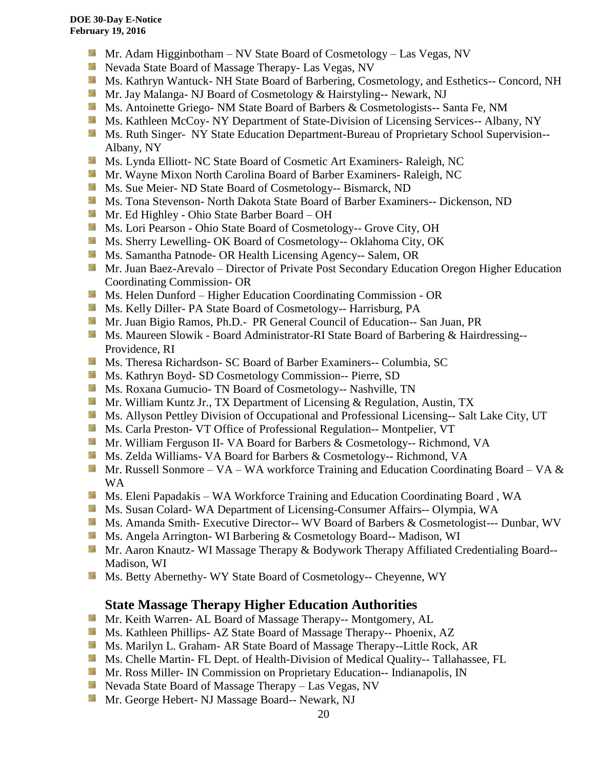- **Mr.** Adam Higginbotham NV State Board of Cosmetology Las Vegas, NV
- **Nevada State Board of Massage Therapy- Las Vegas, NV**
- **Ms. Kathryn Wantuck- NH State Board of Barbering, Cosmetology, and Esthetics-- Concord, NH**
- **Mr. Jay Malanga- NJ Board of Cosmetology & Hairstyling-- Newark, NJ**
- Ms. Antoinette Griego- NM State Board of Barbers & Cosmetologists-- Santa Fe, NM
- **Ms. Kathleen McCoy- NY Department of State-Division of Licensing Services-- Albany, NY**
- **MS. Ruth Singer- NY State Education Department-Bureau of Proprietary School Supervision--**Albany, NY
- **Ms.** Lynda Elliott- NC State Board of Cosmetic Art Examiners- Raleigh, NC
- **Mr. Wayne Mixon North Carolina Board of Barber Examiners- Raleigh, NC**
- **Ms. Sue Meier- ND State Board of Cosmetology-- Bismarck, ND**
- **Ms. Tona Stevenson- North Dakota State Board of Barber Examiners-- Dickenson, ND**
- Mr. Ed Highley Ohio State Barber Board OH
- Ms. Lori Pearson Ohio State Board of Cosmetology-- Grove City, OH
- **Ms. Sherry Lewelling- OK Board of Cosmetology-- Oklahoma City, OK**
- **Ms. Samantha Patnode- OR Health Licensing Agency-- Salem, OR**
- Mr. Juan Baez-Arevalo Director of Private Post Secondary Education Oregon Higher Education Coordinating Commission- OR
- **Ms. Helen Dunford Higher Education Coordinating Commission OR**
- Ms. Kelly Diller- PA State Board of Cosmetology-- Harrisburg, PA
- Mr. Juan Bigio Ramos, Ph.D.- PR General Council of Education-- San Juan, PR
- Ms. Maureen Slowik Board Administrator-RI State Board of Barbering & Hairdressing--Providence, RI
- Ms. Theresa Richardson- SC Board of Barber Examiners-- Columbia, SC
- **Ms. Kathryn Boyd- SD Cosmetology Commission-- Pierre, SD**
- **Ms. Roxana Gumucio- TN Board of Cosmetology-- Nashville, TN**
- **Mr. William Kuntz Jr., TX Department of Licensing & Regulation, Austin, TX**
- Ms. Allyson Pettley Division of Occupational and Professional Licensing-- Salt Lake City, UT
- **Ms. Carla Preston- VT Office of Professional Regulation-- Montpelier, VT**
- Mr. William Ferguson II- VA Board for Barbers & Cosmetology-- Richmond, VA
- **Ms. Zelda Williams- VA Board for Barbers & Cosmetology-- Richmond, VA**
- Mr. Russell Sonmore VA WA workforce Training and Education Coordinating Board VA  $\&$ WA
- Ms. Eleni Papadakis WA Workforce Training and Education Coordinating Board, WA
- **Ms. Susan Colard- WA Department of Licensing-Consumer Affairs-- Olympia, WA**
- Ms. Amanda Smith- Executive Director-- WV Board of Barbers & Cosmetologist--- Dunbar, WV
- **Ms.** Angela Arrington- WI Barbering & Cosmetology Board-- Madison, WI
- Mr. Aaron Knautz- WI Massage Therapy & Bodywork Therapy Affiliated Credentialing Board--Madison, WI
- Ms. Betty Abernethy- WY State Board of Cosmetology-- Cheyenne, WY

## **State Massage Therapy Higher Education Authorities**

- **Mr. Keith Warren- AL Board of Massage Therapy-- Montgomery, AL**
- **Ms. Kathleen Phillips- AZ State Board of Massage Therapy-- Phoenix, AZ**
- Ms. Marilyn L. Graham- AR State Board of Massage Therapy--Little Rock, AR
- **Ms. Chelle Martin- FL Dept. of Health-Division of Medical Quality-- Tallahassee, FL**
- **Mr. Ross Miller- IN Commission on Proprietary Education-- Indianapolis, IN**
- **Nevada State Board of Massage Therapy Las Vegas, NV**
- Mr. George Hebert- NJ Massage Board-- Newark, NJ